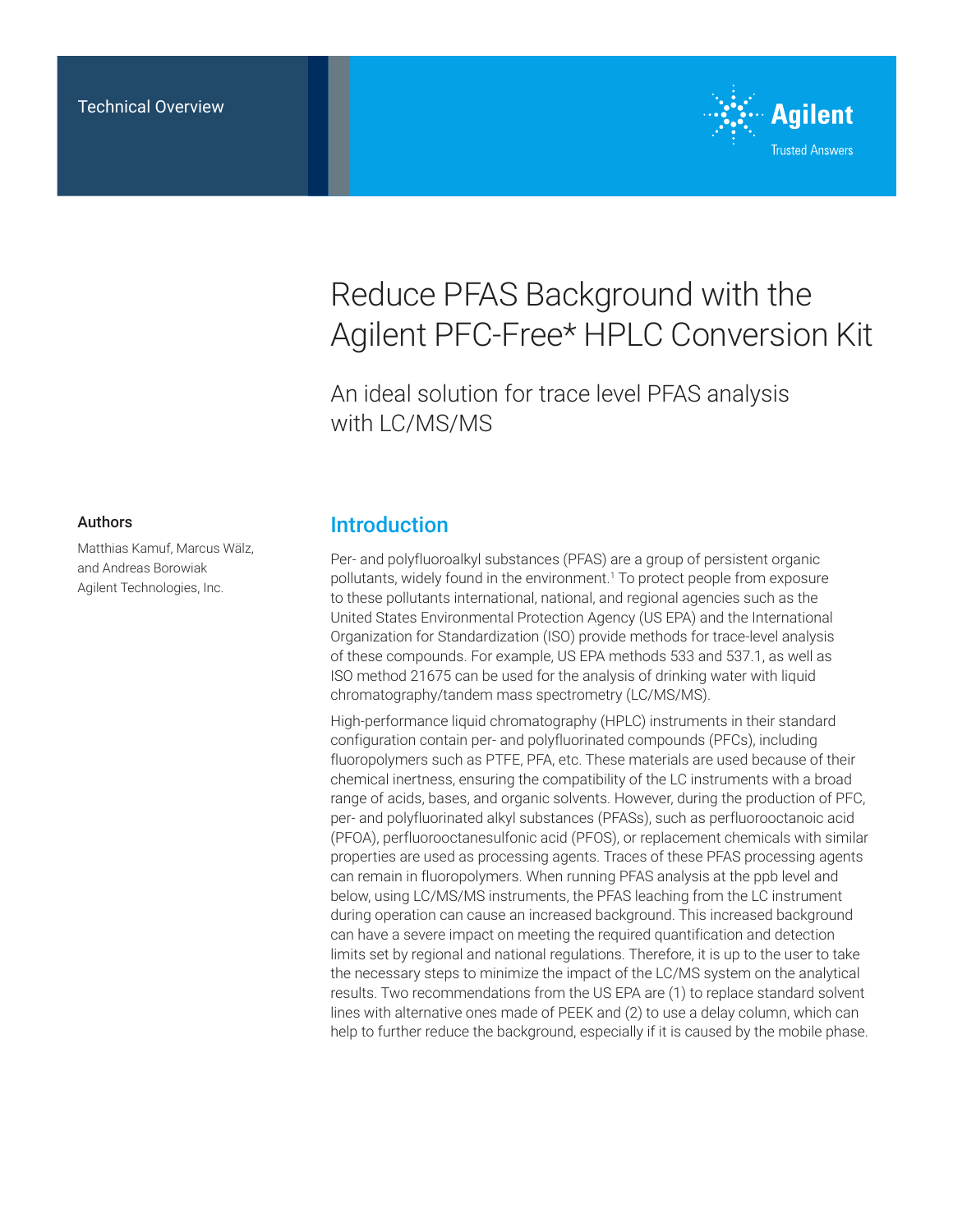

# Reduce PFAS Background with the Agilent PFC-Free\* HPLC Conversion Kit

An ideal solution for trace level PFAS analysis with LC/MS/MS

#### Authors

Matthias Kamuf, Marcus Wälz, and Andreas Borowiak Agilent Technologies, Inc.

### Introduction

Per- and polyfluoroalkyl substances (PFAS) are a group of persistent organic pollutants, widely found in the environment.1 To protect people from exposure to these pollutants international, national, and regional agencies such as the United States Environmental Protection Agency (US EPA) and the International Organization for Standardization (ISO) provide methods for trace-level analysis of these compounds. For example, US EPA methods 533 and 537.1, as well as ISO method 21675 can be used for the analysis of drinking water with liquid chromatography/tandem mass spectrometry (LC/MS/MS).

High-performance liquid chromatography (HPLC) instruments in their standard configuration contain per- and polyfluorinated compounds (PFCs), including fluoropolymers such as PTFE, PFA, etc. These materials are used because of their chemical inertness, ensuring the compatibility of the LC instruments with a broad range of acids, bases, and organic solvents. However, during the production of PFC, per- and polyfluorinated alkyl substances (PFASs), such as perfluorooctanoic acid (PFOA), perfluorooctanesulfonic acid (PFOS), or replacement chemicals with similar properties are used as processing agents. Traces of these PFAS processing agents can remain in fluoropolymers. When running PFAS analysis at the ppb level and below, using LC/MS/MS instruments, the PFAS leaching from the LC instrument during operation can cause an increased background. This increased background can have a severe impact on meeting the required quantification and detection limits set by regional and national regulations. Therefore, it is up to the user to take the necessary steps to minimize the impact of the LC/MS system on the analytical results. Two recommendations from the US EPA are (1) to replace standard solvent lines with alternative ones made of PEEK and (2) to use a delay column, which can help to further reduce the background, especially if it is caused by the mobile phase.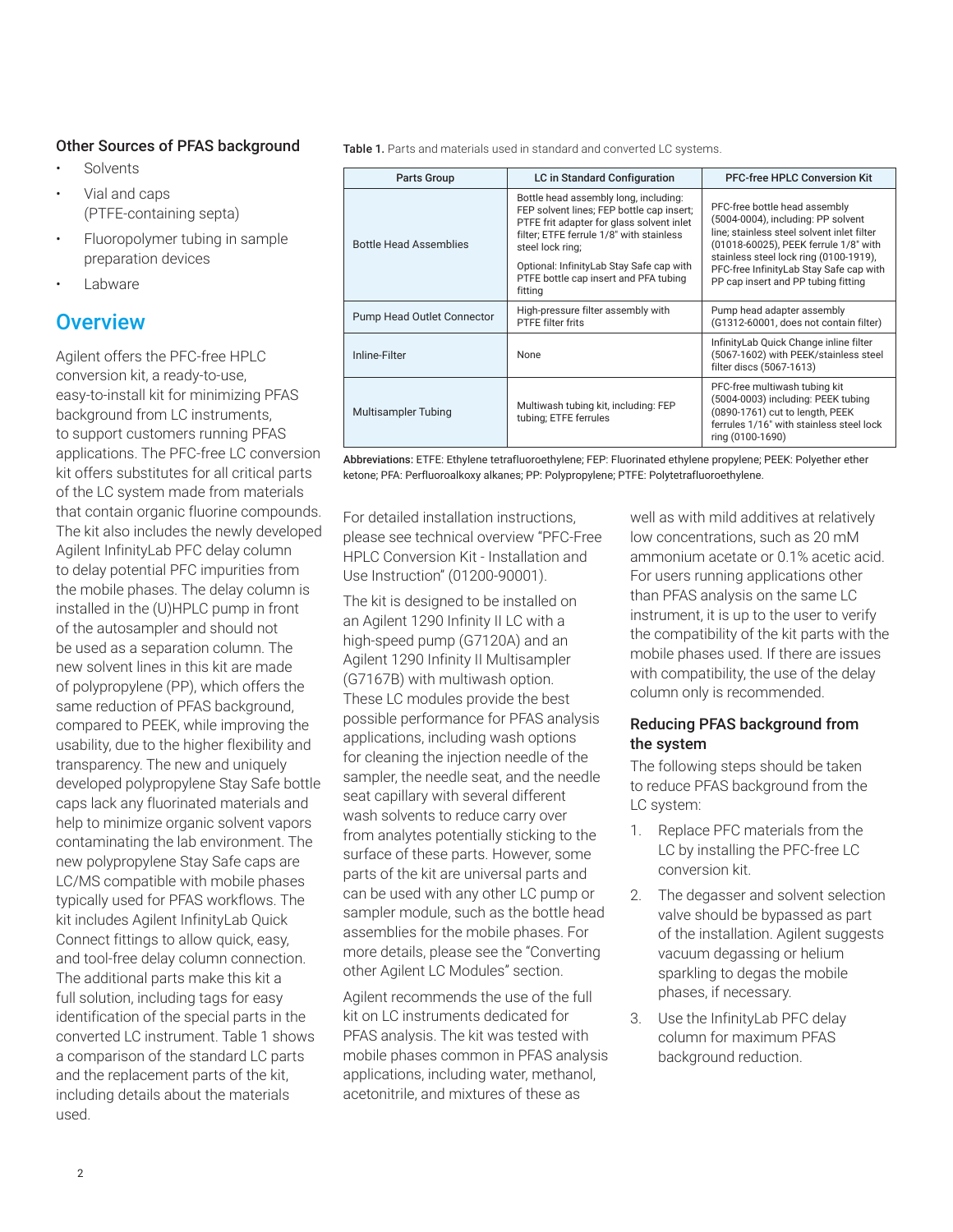#### Other Sources of PFAS background

- **Solvents**
- Vial and caps (PTFE-containing septa)
- Fluoropolymer tubing in sample preparation devices
- **Labware**

## **Overview**

Agilent offers the PFC-free HPLC conversion kit, a ready-to-use, easy-to-install kit for minimizing PFAS background from LC instruments, to support customers running PFAS applications. The PFC-free LC conversion kit offers substitutes for all critical parts of the LC system made from materials that contain organic fluorine compounds. The kit also includes the newly developed Agilent InfinityLab PFC delay column to delay potential PFC impurities from the mobile phases. The delay column is installed in the (U)HPLC pump in front of the autosampler and should not be used as a separation column. The new solvent lines in this kit are made of polypropylene (PP), which offers the same reduction of PFAS background, compared to PEEK, while improving the usability, due to the higher flexibility and transparency. The new and uniquely developed polypropylene Stay Safe bottle caps lack any fluorinated materials and help to minimize organic solvent vapors contaminating the lab environment. The new polypropylene Stay Safe caps are LC/MS compatible with mobile phases typically used for PFAS workflows. The kit includes Agilent InfinityLab Quick Connect fittings to allow quick, easy, and tool-free delay column connection. The additional parts make this kit a full solution, including tags for easy identification of the special parts in the converted LC instrument. Table 1 shows a comparison of the standard LC parts and the replacement parts of the kit, including details about the materials used.

Table 1. Parts and materials used in standard and converted LC systems.

| <b>Parts Group</b>            | LC in Standard Configuration                                                                                                                                                                                                                                                                    | <b>PFC-free HPLC Conversion Kit</b>                                                                                                                                                                                                                                                    |
|-------------------------------|-------------------------------------------------------------------------------------------------------------------------------------------------------------------------------------------------------------------------------------------------------------------------------------------------|----------------------------------------------------------------------------------------------------------------------------------------------------------------------------------------------------------------------------------------------------------------------------------------|
| <b>Bottle Head Assemblies</b> | Bottle head assembly long, including:<br>FEP solvent lines; FEP bottle cap insert;<br>PTFE frit adapter for glass solvent inlet<br>filter; ETFE ferrule 1/8" with stainless<br>steel lock ring;<br>Optional: InfinityLab Stay Safe cap with<br>PTFE bottle cap insert and PFA tubing<br>fitting | PFC-free bottle head assembly<br>(5004-0004), including: PP solvent<br>line: stainless steel solvent inlet filter<br>(01018-60025), PEEK ferrule 1/8" with<br>stainless steel lock ring (0100-1919),<br>PFC-free InfinityLab Stay Safe cap with<br>PP cap insert and PP tubing fitting |
| Pump Head Outlet Connector    | High-pressure filter assembly with<br><b>PTFE filter frits</b>                                                                                                                                                                                                                                  | Pump head adapter assembly<br>(G1312-60001, does not contain filter)                                                                                                                                                                                                                   |
| Inline-Filter                 | <b>None</b>                                                                                                                                                                                                                                                                                     | Infinity Lab Quick Change inline filter<br>(5067-1602) with PEEK/stainless steel<br>filter discs (5067-1613)                                                                                                                                                                           |
| <b>Multisampler Tubing</b>    | Multiwash tubing kit, including: FEP<br>tubing; ETFE ferrules                                                                                                                                                                                                                                   | PFC-free multiwash tubing kit<br>(5004-0003) including: PEEK tubing<br>(0890-1761) cut to length, PEEK<br>ferrules 1/16" with stainless steel lock<br>ring (0100-1690)                                                                                                                 |

Abbreviations: ETFE: Ethylene tetrafluoroethylene; FEP: Fluorinated ethylene propylene; PEEK: Polyether ether ketone; PFA: Perfluoroalkoxy alkanes; PP: Polypropylene; PTFE: Polytetrafluoroethylene.

For detailed installation instructions, please see technical overview "PFC-Free HPLC Conversion Kit - Installation and Use Instruction" (01200-90001).

The kit is designed to be installed on an Agilent 1290 Infinity II LC with a high-speed pump (G7120A) and an Agilent 1290 Infinity II Multisampler (G7167B) with multiwash option. These LC modules provide the best possible performance for PFAS analysis applications, including wash options for cleaning the injection needle of the sampler, the needle seat, and the needle seat capillary with several different wash solvents to reduce carry over from analytes potentially sticking to the surface of these parts. However, some parts of the kit are universal parts and can be used with any other LC pump or sampler module, such as the bottle head assemblies for the mobile phases. For more details, please see the "Converting other Agilent LC Modules" section.

Agilent recommends the use of the full kit on LC instruments dedicated for PFAS analysis. The kit was tested with mobile phases common in PFAS analysis applications, including water, methanol, acetonitrile, and mixtures of these as

well as with mild additives at relatively low concentrations, such as 20 mM ammonium acetate or 0.1% acetic acid. For users running applications other than PFAS analysis on the same LC instrument, it is up to the user to verify the compatibility of the kit parts with the mobile phases used. If there are issues with compatibility, the use of the delay column only is recommended.

### Reducing PFAS background from the system

The following steps should be taken to reduce PFAS background from the LC system:

- 1. Replace PFC materials from the LC by installing the PFC-free LC conversion kit.
- 2. The degasser and solvent selection valve should be bypassed as part of the installation. Agilent suggests vacuum degassing or helium sparkling to degas the mobile phases, if necessary.
- 3. Use the InfinityLab PFC delay column for maximum PFAS background reduction.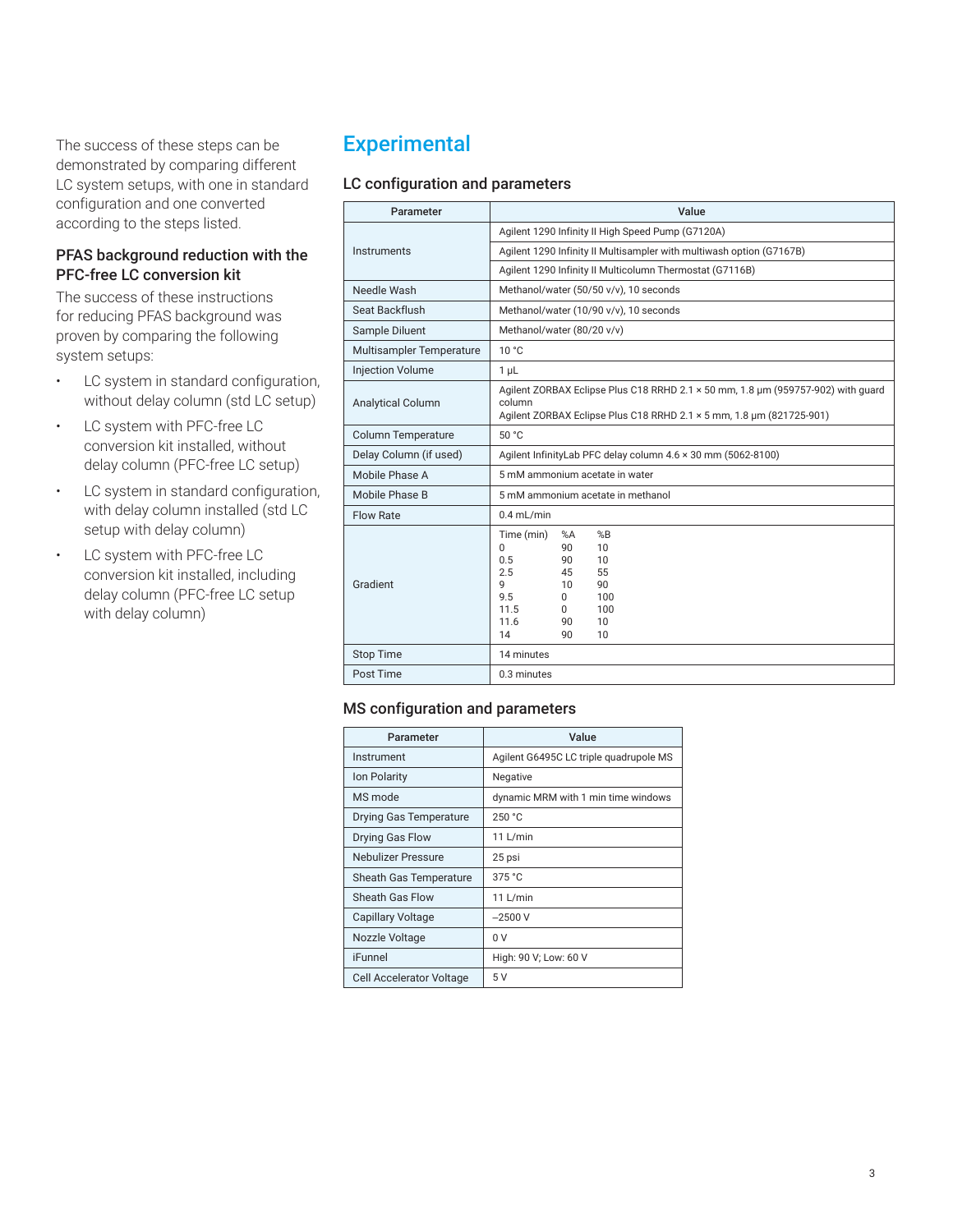The success of these steps can be demonstrated by comparing different LC system setups, with one in standard configuration and one converted according to the steps listed.

### PFAS background reduction with the PFC-free LC conversion kit

The success of these instructions for reducing PFAS background was proven by comparing the following system setups:

- LC system in standard configuration, without delay column (std LC setup)
- LC system with PFC-free LC conversion kit installed, without delay column (PFC-free LC setup)
- LC system in standard configuration, with delay column installed (std LC setup with delay column)
- LC system with PFC-free LC conversion kit installed, including delay column (PFC-free LC setup with delay column)

# **Experimental**

### LC configuration and parameters

| Parameter                 | Value                                                                                                                                                                                             |  |  |
|---------------------------|---------------------------------------------------------------------------------------------------------------------------------------------------------------------------------------------------|--|--|
|                           | Agilent 1290 Infinity II High Speed Pump (G7120A)                                                                                                                                                 |  |  |
| Instruments               | Agilent 1290 Infinity II Multisampler with multiwash option (G7167B)                                                                                                                              |  |  |
|                           | Agilent 1290 Infinity II Multicolumn Thermostat (G7116B)                                                                                                                                          |  |  |
| Needle Wash               | Methanol/water (50/50 v/v), 10 seconds                                                                                                                                                            |  |  |
| Seat Backflush            | Methanol/water (10/90 v/v), 10 seconds                                                                                                                                                            |  |  |
| Sample Diluent            | Methanol/water (80/20 v/v)                                                                                                                                                                        |  |  |
| Multisampler Temperature  | 10 °C                                                                                                                                                                                             |  |  |
| <b>Injection Volume</b>   | 1 <sub>µ</sub>                                                                                                                                                                                    |  |  |
| <b>Analytical Column</b>  | Agilent ZORBAX Eclipse Plus C18 RRHD 2.1 x 50 mm, 1.8 µm (959757-902) with guard<br>column<br>Agilent ZORBAX Eclipse Plus C18 RRHD 2.1 x 5 mm, 1.8 µm (821725-901)                                |  |  |
| <b>Column Temperature</b> | 50 °C                                                                                                                                                                                             |  |  |
| Delay Column (if used)    | Agilent InfinityLab PFC delay column 4.6 x 30 mm (5062-8100)                                                                                                                                      |  |  |
| Mobile Phase A            | 5 mM ammonium acetate in water                                                                                                                                                                    |  |  |
| Mobile Phase B            | 5 mM ammonium acetate in methanol                                                                                                                                                                 |  |  |
| Flow Rate                 | $0.4$ mL/min                                                                                                                                                                                      |  |  |
| Gradient                  | Time (min)<br>%B<br>%A<br>10<br><sup>0</sup><br>90<br>10<br>0.5<br>90<br>2.5<br>55<br>45<br>9<br>90<br>10<br>9.5<br>100<br>0<br>11.5<br>100<br><sup>0</sup><br>11.6<br>90<br>10<br>14<br>10<br>90 |  |  |
| <b>Stop Time</b>          | 14 minutes                                                                                                                                                                                        |  |  |
| Post Time                 | 0.3 minutes                                                                                                                                                                                       |  |  |

#### MS configuration and parameters

| Parameter                     | Value                                  |
|-------------------------------|----------------------------------------|
| Instrument                    | Agilent G6495C LC triple quadrupole MS |
| Ion Polarity                  | Negative                               |
| MS mode                       | dynamic MRM with 1 min time windows    |
| <b>Drying Gas Temperature</b> | 250 °C                                 |
| Drying Gas Flow               | 11 L/min                               |
| Nebulizer Pressure            | 25 psi                                 |
| <b>Sheath Gas Temperature</b> | 375 °C                                 |
| Sheath Gas Flow               | 11 L/min                               |
| <b>Capillary Voltage</b>      | $-2500V$                               |
| Nozzle Voltage                | 0 V                                    |
| iFunnel                       | High: 90 V; Low: 60 V                  |
| Cell Accelerator Voltage      | 5 V                                    |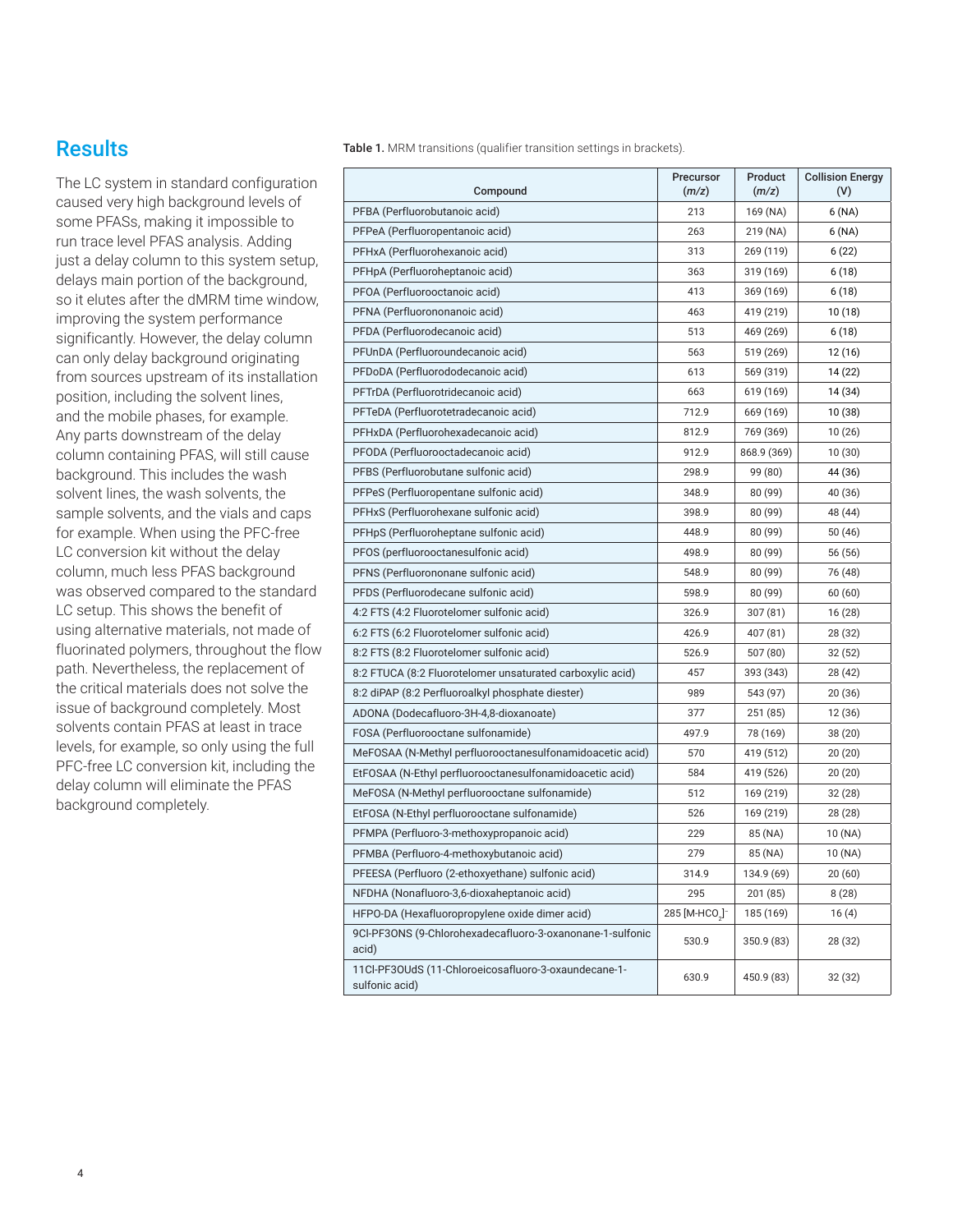Table 1. MRM transitions (qualifier transition settings in brackets).

## **Results**

The LC system in standard configuration caused very high background levels of some PFASs, making it impossible to run trace level PFAS analysis. Adding just a delay column to this system setup, delays main portion of the background, so it elutes after the dMRM time window, improving the system performance significantly. However, the delay column can only delay background originating from sources upstream of its installation position, including the solvent lines, and the mobile phases, for example. Any parts downstream of the delay column containing PFAS, will still cause background. This includes the wash solvent lines, the wash solvents, the sample solvents, and the vials and caps for example. When using the PFC-free LC conversion kit without the delay column, much less PFAS background was observed compared to the standard LC setup. This shows the benefit of using alternative materials, not made of fluorinated polymers, throughout the flow path. Nevertheless, the replacement of the critical materials does not solve the issue of background completely. Most solvents contain PFAS at least in trace levels, for example, so only using the full PFC-free LC conversion kit, including the delay column will eliminate the PFAS background completely.

| Compound                                                               | Precursor<br>(m/z)                     | Product<br>(m/z) | <b>Collision Energy</b><br>(V) |
|------------------------------------------------------------------------|----------------------------------------|------------------|--------------------------------|
| PFBA (Perfluorobutanoic acid)                                          | 213                                    | 169 (NA)         | 6(NA)                          |
| PFPeA (Perfluoropentanoic acid)                                        | 263                                    | 219 (NA)         | 6(NA)                          |
| PFHxA (Perfluorohexanoic acid)                                         | 313                                    | 269 (119)        | 6(22)                          |
| PFHpA (Perfluoroheptanoic acid)                                        | 363                                    | 319 (169)        | 6 (18)                         |
| PFOA (Perfluorooctanoic acid)                                          | 413                                    | 369 (169)        | 6 (18)                         |
| PFNA (Perfluorononanoic acid)                                          | 463                                    | 419 (219)        | 10 (18)                        |
| PFDA (Perfluorodecanoic acid)                                          | 513                                    | 469 (269)        | 6 (18)                         |
| PFUnDA (Perfluoroundecanoic acid)                                      | 563                                    | 519 (269)        | 12 (16)                        |
| PFDoDA (Perfluorododecanoic acid)                                      | 613                                    | 569 (319)        | 14 (22)                        |
| PFTrDA (Perfluorotridecanoic acid)                                     | 663                                    | 619 (169)        | 14 (34)                        |
| PFTeDA (Perfluorotetradecanoic acid)                                   | 712.9                                  | 669 (169)        | 10 (38)                        |
| PFHxDA (Perfluorohexadecanoic acid)                                    | 812.9                                  | 769 (369)        | 10 (26)                        |
| PFODA (Perfluorooctadecanoic acid)                                     | 912.9                                  | 868.9 (369)      | 10(30)                         |
| PFBS (Perfluorobutane sulfonic acid)                                   | 298.9                                  | 99 (80)          | 44 (36)                        |
| PFPeS (Perfluoropentane sulfonic acid)                                 | 348.9                                  | 80 (99)          | 40 (36)                        |
| PFHxS (Perfluorohexane sulfonic acid)                                  | 398.9                                  | 80 (99)          | 48 (44)                        |
| PFHpS (Perfluoroheptane sulfonic acid)                                 | 448.9                                  | 80 (99)          | 50 (46)                        |
| PFOS (perfluorooctanesulfonic acid)                                    | 498.9                                  | 80 (99)          | 56 (56)                        |
| PFNS (Perfluorononane sulfonic acid)                                   | 548.9                                  | 80 (99)          | 76 (48)                        |
| PFDS (Perfluorodecane sulfonic acid)                                   | 598.9                                  | 80 (99)          | 60(60)                         |
| 4:2 FTS (4:2 Fluorotelomer sulfonic acid)                              | 326.9                                  | 307 (81)         | 16 (28)                        |
| 6:2 FTS (6:2 Fluorotelomer sulfonic acid)                              | 426.9                                  | 407 (81)         | 28 (32)                        |
| 8:2 FTS (8:2 Fluorotelomer sulfonic acid)                              | 526.9                                  | 507 (80)         | 32 (52)                        |
| 8:2 FTUCA (8:2 Fluorotelomer unsaturated carboxylic acid)              | 457                                    | 393 (343)        | 28 (42)                        |
| 8:2 diPAP (8:2 Perfluoroalkyl phosphate diester)                       | 989                                    | 543 (97)         | 20 (36)                        |
| ADONA (Dodecafluoro-3H-4,8-dioxanoate)                                 | 377                                    | 251 (85)         | 12 (36)                        |
| FOSA (Perfluorooctane sulfonamide)                                     | 497.9                                  | 78 (169)         | 38 (20)                        |
| MeFOSAA (N-Methyl perfluorooctanesulfonamidoacetic acid)               | 570                                    | 419 (512)        | 20(20)                         |
| EtFOSAA (N-Ethyl perfluorooctanesulfonamidoacetic acid)                | 584                                    | 419 (526)        | 20 (20)                        |
| MeFOSA (N-Methyl perfluorooctane sulfonamide)                          | 512                                    | 169 (219)        | 32(28)                         |
| EtFOSA (N-Ethyl perfluorooctane sulfonamide)                           | 526                                    | 169 (219)        | 28 (28)                        |
| PFMPA (Perfluoro-3-methoxypropanoic acid)                              | 229                                    | 85 (NA)          | 10 (NA)                        |
| PFMBA (Perfluoro-4-methoxybutanoic acid)                               | 279                                    | 85 (NA)          | 10 (NA)                        |
| PFEESA (Perfluoro (2-ethoxyethane) sulfonic acid)                      | 314.9                                  | 134.9 (69)       | 20 (60)                        |
| NFDHA (Nonafluoro-3,6-dioxaheptanoic acid)                             | 295                                    | 201 (85)         | 8(28)                          |
| HFPO-DA (Hexafluoropropylene oxide dimer acid)                         | 285 [M-HCO <sub>2</sub> ] <sup>-</sup> | 185 (169)        | 16(4)                          |
| 9CI-PF3ONS (9-Chlorohexadecafluoro-3-oxanonane-1-sulfonic<br>acid)     | 530.9                                  | 350.9 (83)       | 28 (32)                        |
| 11Cl-PF3OUdS (11-Chloroeicosafluoro-3-oxaundecane-1-<br>sulfonic acid) | 630.9                                  | 450.9 (83)       | 32 (32)                        |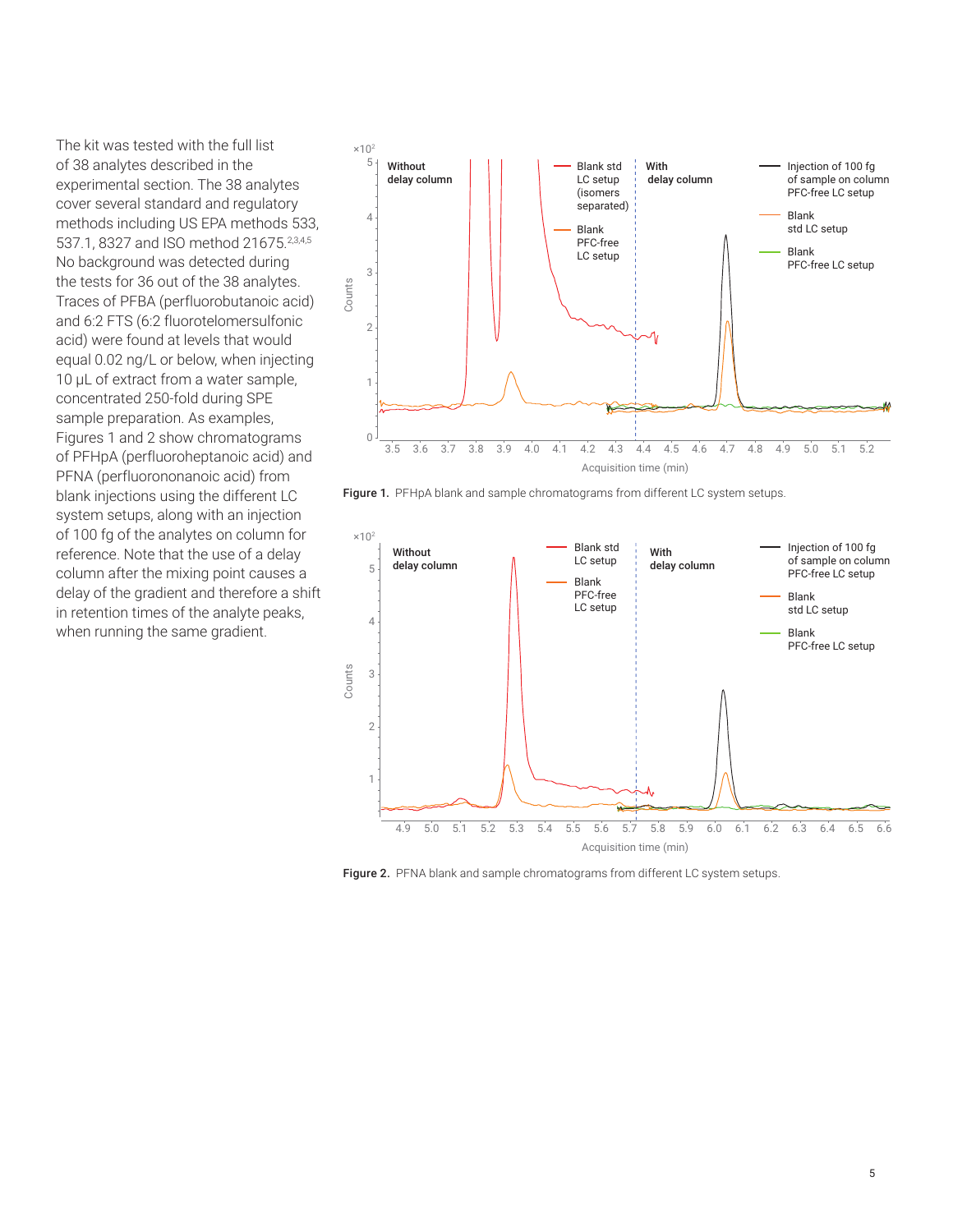The kit was tested with the full list of 38 analytes described in the experimental section. The 38 analytes cover several standard and regulatory methods including US EPA methods 533, 537.1, 8327 and ISO method 21675.<sup>2,3,4,5</sup> No background was detected during the tests for 36 out of the 38 analytes. Traces of PFBA (perfluorobutanoic acid) and 6:2 FTS (6:2 fluorotelomersulfonic acid) were found at levels that would equal 0.02 ng/L or below, when injecting 10 µL of extract from a water sample, concentrated 250-fold during SPE sample preparation. As examples, Figures 1 and 2 show chromatograms of PFHpA (perfluoroheptanoic acid) and PFNA (perfluorononanoic acid) from blank injections using the different LC system setups, along with an injection of 100 fg of the analytes on column for reference. Note that the use of a delay column after the mixing point causes a delay of the gradient and therefore a shift in retention times of the analyte peaks, when running the same gradient.



Figure 1. PFHpA blank and sample chromatograms from different LC system setups.



Figure 2. PFNA blank and sample chromatograms from different LC system setups.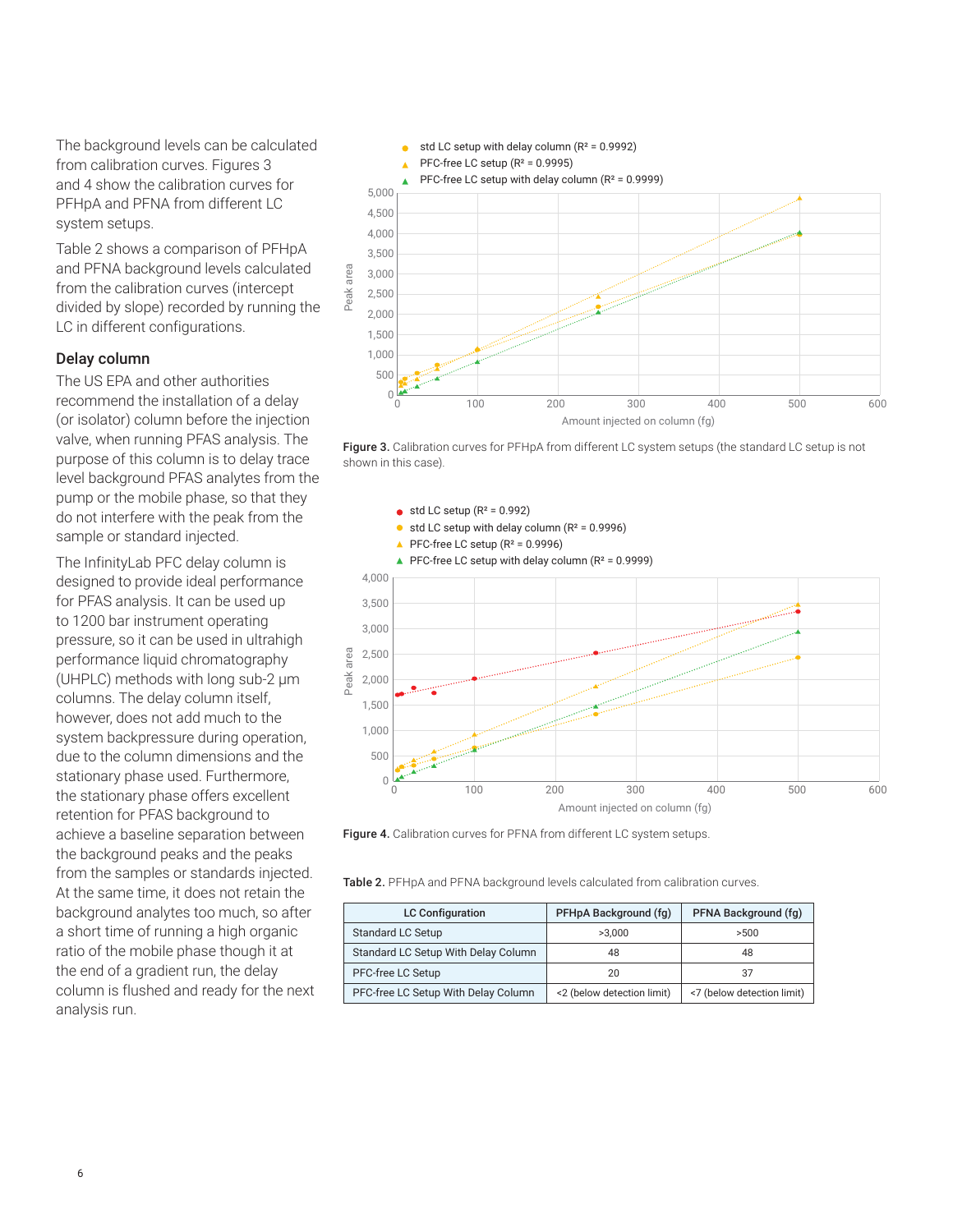The background levels can be calculated from calibration curves. Figures 3 and 4 show the calibration curves for PFHpA and PFNA from different LC system setups.

Table 2 shows a comparison of PFHpA and PFNA background levels calculated from the calibration curves (intercept divided by slope) recorded by running the LC in different configurations.

### Delay column

The US EPA and other authorities recommend the installation of a delay (or isolator) column before the injection valve, when running PFAS analysis. The purpose of this column is to delay trace level background PFAS analytes from the pump or the mobile phase, so that they do not interfere with the peak from the sample or standard injected.

The InfinityLab PFC delay column is designed to provide ideal performance for PFAS analysis. It can be used up to 1200 bar instrument operating pressure, so it can be used in ultrahigh performance liquid chromatography (UHPLC) methods with long sub‑2 µm columns. The delay column itself, however, does not add much to the system backpressure during operation, due to the column dimensions and the stationary phase used. Furthermore, the stationary phase offers excellent retention for PFAS background to achieve a baseline separation between the background peaks and the peaks from the samples or standards injected. At the same time, it does not retain the background analytes too much, so after a short time of running a high organic ratio of the mobile phase though it at the end of a gradient run, the delay column is flushed and ready for the next analysis run.



Figure 3. Calibration curves for PFHpA from different LC system setups (the standard LC setup is not shown in this case).



Table 2. PFHpA and PFNA background levels calculated from calibration curves.

| <b>LC Configuration</b>             | PFHpA Background (fg)      | PFNA Background (fg)       |
|-------------------------------------|----------------------------|----------------------------|
| Standard LC Setup                   | >3.000                     | >500                       |
| Standard LC Setup With Delay Column | 48                         | 48                         |
| PFC-free LC Setup                   | 20                         | 37                         |
| PFC-free LC Setup With Delay Column | <2 (below detection limit) | <7 (below detection limit) |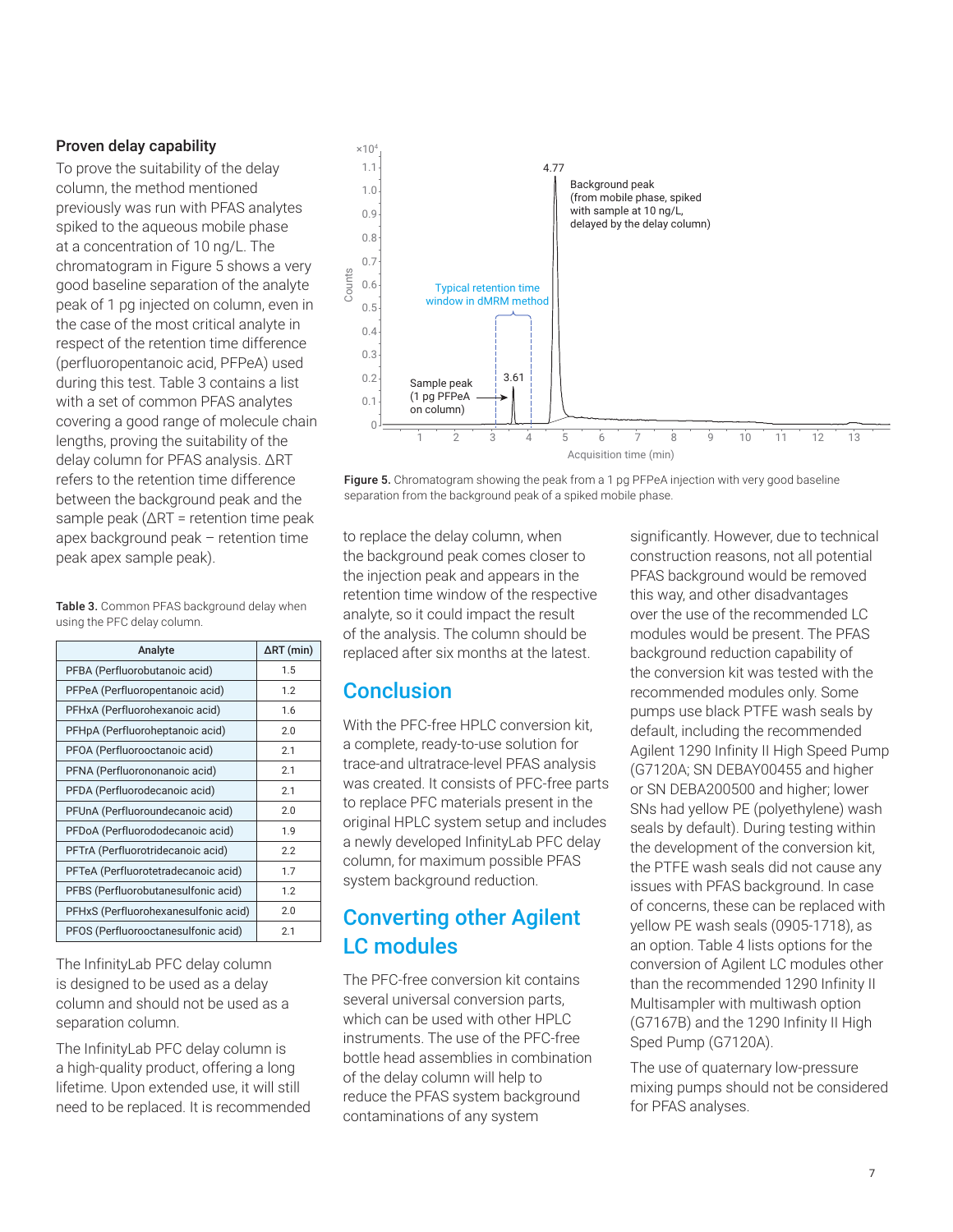### Proven delay capability

To prove the suitability of the delay column, the method mentioned previously was run with PFAS analytes spiked to the aqueous mobile phase at a concentration of 10 ng/L. The chromatogram in Figure 5 shows a very good baseline separation of the analyte peak of 1 pg injected on column, even in the case of the most critical analyte in respect of the retention time difference (perfluoropentanoic acid, PFPeA) used during this test. Table 3 contains a list with a set of common PFAS analytes covering a good range of molecule chain lengths, proving the suitability of the delay column for PFAS analysis. ΔRT refers to the retention time difference between the background peak and the sample peak (ΔRT = retention time peak apex background peak – retention time peak apex sample peak).

Table 3. Common PFAS background delay when using the PFC delay column.

| Analyte                              | $\Delta$ RT (min) |
|--------------------------------------|-------------------|
| PFBA (Perfluorobutanoic acid)        | 1.5               |
| PFPeA (Perfluoropentanoic acid)      | 1.2               |
| PFHxA (Perfluorohexanoic acid)       | 1.6               |
| PFHpA (Perfluoroheptanoic acid)      | 2.0               |
| PFOA (Perfluorooctanoic acid)        | 2.1               |
| PFNA (Perfluorononanoic acid)        | 2.1               |
| PFDA (Perfluorodecanoic acid)        | 2.1               |
| PFUnA (Perfluoroundecanoic acid)     | 2.0               |
| PFDoA (Perfluorododecanoic acid)     | 1.9               |
| PFTrA (Perfluorotridecanoic acid)    | 2.2               |
| PFTeA (Perfluorotetradecanoic acid)  | 1.7               |
| PFBS (Perfluorobutanesulfonic acid)  | 1.2               |
| PFHxS (Perfluorohexanesulfonic acid) | 2.0               |
| PFOS (Perfluorooctanesulfonic acid)  | 2.1               |

The InfinityLab PFC delay column is designed to be used as a delay column and should not be used as a separation column.

The InfinityLab PFC delay column is a high-quality product, offering a long lifetime. Upon extended use, it will still need to be replaced. It is recommended



Figure 5. Chromatogram showing the peak from a 1 pg PFPeA injection with very good baseline separation from the background peak of a spiked mobile phase.

to replace the delay column, when the background peak comes closer to the injection peak and appears in the retention time window of the respective analyte, so it could impact the result of the analysis. The column should be replaced after six months at the latest.

### Conclusion

With the PFC-free HPLC conversion kit, a complete, ready-to-use solution for trace-and ultratrace-level PFAS analysis was created. It consists of PFC-free parts to replace PFC materials present in the original HPLC system setup and includes a newly developed InfinityLab PFC delay column, for maximum possible PFAS system background reduction.

# Converting other Agilent LC modules

The PFC-free conversion kit contains several universal conversion parts, which can be used with other HPLC instruments. The use of the PFC-free bottle head assemblies in combination of the delay column will help to reduce the PFAS system background contaminations of any system

significantly. However, due to technical construction reasons, not all potential PFAS background would be removed this way, and other disadvantages over the use of the recommended LC modules would be present. The PFAS background reduction capability of the conversion kit was tested with the recommended modules only. Some pumps use black PTFE wash seals by default, including the recommended Agilent 1290 Infinity II High Speed Pump (G7120A; SN DEBAY00455 and higher or SN DEBA200500 and higher; lower SNs had yellow PE (polyethylene) wash seals by default). During testing within the development of the conversion kit, the PTFE wash seals did not cause any issues with PFAS background. In case of concerns, these can be replaced with yellow PE wash seals (0905-1718), as an option. Table 4 lists options for the conversion of Agilent LC modules other than the recommended 1290 Infinity II Multisampler with multiwash option (G7167B) and the 1290 Infinity II High Sped Pump (G7120A).

The use of quaternary low-pressure mixing pumps should not be considered for PFAS analyses.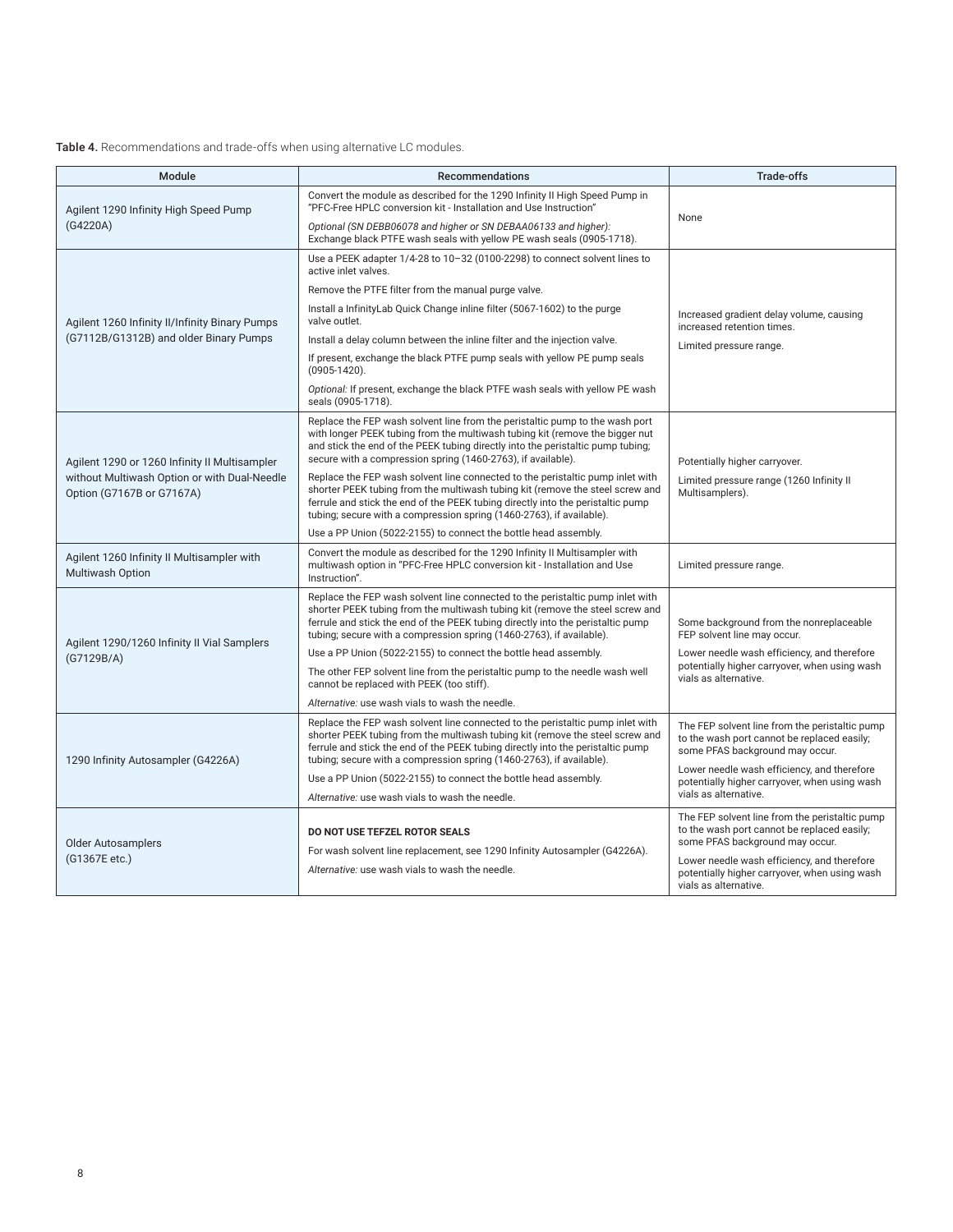#### Table 4. Recommendations and trade-offs when using alternative LC modules.

| Module                                                                                                                     | <b>Recommendations</b>                                                                                                                                                                                                                                                                                                     | <b>Trade-offs</b>                                                                                                                |  |
|----------------------------------------------------------------------------------------------------------------------------|----------------------------------------------------------------------------------------------------------------------------------------------------------------------------------------------------------------------------------------------------------------------------------------------------------------------------|----------------------------------------------------------------------------------------------------------------------------------|--|
| Agilent 1290 Infinity High Speed Pump                                                                                      | Convert the module as described for the 1290 Infinity II High Speed Pump in<br>"PFC-Free HPLC conversion kit - Installation and Use Instruction"                                                                                                                                                                           | None                                                                                                                             |  |
| (G4220A)                                                                                                                   | Optional (SN DEBB06078 and higher or SN DEBAA06133 and higher):<br>Exchange black PTFE wash seals with yellow PE wash seals (0905-1718).                                                                                                                                                                                   |                                                                                                                                  |  |
|                                                                                                                            | Use a PEEK adapter 1/4-28 to 10-32 (0100-2298) to connect solvent lines to<br>active inlet valves.                                                                                                                                                                                                                         |                                                                                                                                  |  |
|                                                                                                                            | Remove the PTFE filter from the manual purge valve.                                                                                                                                                                                                                                                                        |                                                                                                                                  |  |
| Agilent 1260 Infinity II/Infinity Binary Pumps                                                                             | Install a InfinityLab Quick Change inline filter (5067-1602) to the purge<br>valve outlet.                                                                                                                                                                                                                                 | Increased gradient delay volume, causing<br>increased retention times.<br>Limited pressure range.                                |  |
| (G7112B/G1312B) and older Binary Pumps                                                                                     | Install a delay column between the inline filter and the injection valve.                                                                                                                                                                                                                                                  |                                                                                                                                  |  |
|                                                                                                                            | If present, exchange the black PTFE pump seals with yellow PE pump seals<br>$(0905 - 1420)$ .                                                                                                                                                                                                                              |                                                                                                                                  |  |
|                                                                                                                            | Optional: If present, exchange the black PTFE wash seals with yellow PE wash<br>seals (0905-1718).                                                                                                                                                                                                                         |                                                                                                                                  |  |
| Agilent 1290 or 1260 Infinity II Multisampler<br>without Multiwash Option or with Dual-Needle<br>Option (G7167B or G7167A) | Replace the FEP wash solvent line from the peristaltic pump to the wash port<br>with longer PEEK tubing from the multiwash tubing kit (remove the bigger nut<br>and stick the end of the PEEK tubing directly into the peristaltic pump tubing;<br>secure with a compression spring (1460-2763), if available).            | Potentially higher carryover.                                                                                                    |  |
|                                                                                                                            | Replace the FEP wash solvent line connected to the peristaltic pump inlet with<br>shorter PEEK tubing from the multiwash tubing kit (remove the steel screw and<br>ferrule and stick the end of the PEEK tubing directly into the peristaltic pump<br>tubing; secure with a compression spring (1460-2763), if available). | Limited pressure range (1260 Infinity II<br>Multisamplers).                                                                      |  |
|                                                                                                                            | Use a PP Union (5022-2155) to connect the bottle head assembly.                                                                                                                                                                                                                                                            |                                                                                                                                  |  |
| Agilent 1260 Infinity II Multisampler with<br><b>Multiwash Option</b>                                                      | Convert the module as described for the 1290 Infinity II Multisampler with<br>multiwash option in "PFC-Free HPLC conversion kit - Installation and Use<br>Instruction".                                                                                                                                                    | Limited pressure range.                                                                                                          |  |
|                                                                                                                            | Replace the FEP wash solvent line connected to the peristaltic pump inlet with<br>shorter PEEK tubing from the multiwash tubing kit (remove the steel screw and<br>ferrule and stick the end of the PEEK tubing directly into the peristaltic pump<br>tubing; secure with a compression spring (1460-2763), if available). | Some background from the nonreplaceable<br>FEP solvent line may occur.                                                           |  |
| Agilent 1290/1260 Infinity II Vial Samplers<br>(G7129B/A)                                                                  | Use a PP Union (5022-2155) to connect the bottle head assembly.                                                                                                                                                                                                                                                            | Lower needle wash efficiency, and therefore<br>potentially higher carryover, when using wash<br>vials as alternative.            |  |
|                                                                                                                            | The other FEP solvent line from the peristaltic pump to the needle wash well<br>cannot be replaced with PEEK (too stiff).                                                                                                                                                                                                  |                                                                                                                                  |  |
|                                                                                                                            | Alternative: use wash vials to wash the needle.                                                                                                                                                                                                                                                                            |                                                                                                                                  |  |
| 1290 Infinity Autosampler (G4226A)                                                                                         | Replace the FEP wash solvent line connected to the peristaltic pump inlet with<br>shorter PEEK tubing from the multiwash tubing kit (remove the steel screw and<br>ferrule and stick the end of the PEEK tubing directly into the peristaltic pump<br>tubing; secure with a compression spring (1460-2763), if available). | The FEP solvent line from the peristaltic pump<br>to the wash port cannot be replaced easily;<br>some PFAS background may occur. |  |
|                                                                                                                            | Use a PP Union (5022-2155) to connect the bottle head assembly.                                                                                                                                                                                                                                                            | Lower needle wash efficiency, and therefore<br>potentially higher carryover, when using wash<br>vials as alternative.            |  |
|                                                                                                                            | Alternative: use wash vials to wash the needle.                                                                                                                                                                                                                                                                            |                                                                                                                                  |  |
| <b>Older Autosamplers</b><br>(G1367E etc.)                                                                                 | <b>DO NOT USE TEFZEL ROTOR SEALS</b><br>For wash solvent line replacement, see 1290 Infinity Autosampler (G4226A).                                                                                                                                                                                                         | The FEP solvent line from the peristaltic pump<br>to the wash port cannot be replaced easily;<br>some PFAS background may occur. |  |
|                                                                                                                            | Alternative: use wash vials to wash the needle.                                                                                                                                                                                                                                                                            | Lower needle wash efficiency, and therefore<br>potentially higher carryover, when using wash<br>vials as alternative.            |  |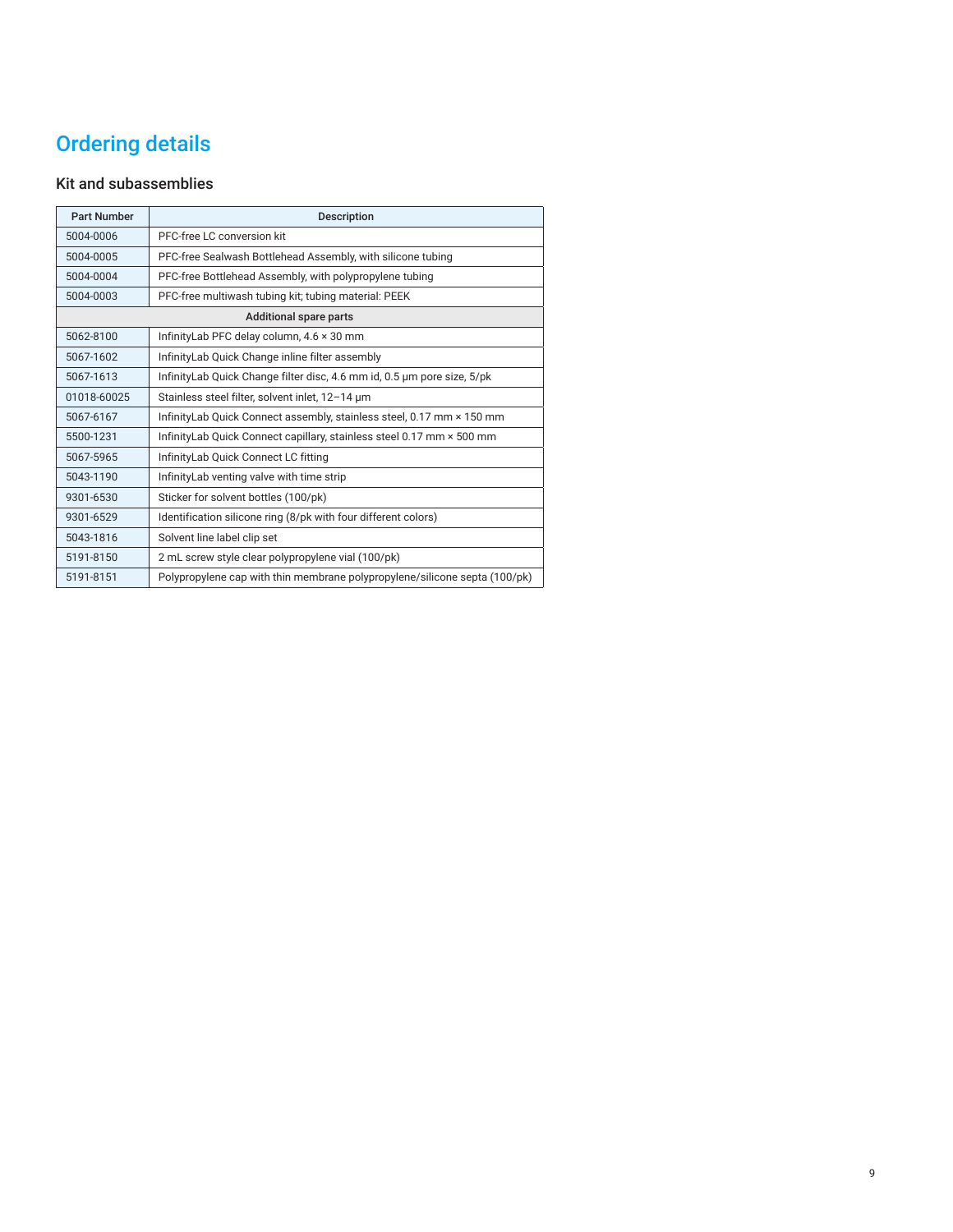# Ordering details

### Kit and subassemblies

| <b>Part Number</b>            | <b>Description</b>                                                         |  |
|-------------------------------|----------------------------------------------------------------------------|--|
| 5004-0006                     | PFC-free LC conversion kit                                                 |  |
| 5004-0005                     | PFC-free Sealwash Bottlehead Assembly, with silicone tubing                |  |
| 5004-0004                     | PFC-free Bottlehead Assembly, with polypropylene tubing                    |  |
| 5004-0003                     | PFC-free multiwash tubing kit; tubing material: PEEK                       |  |
| <b>Additional spare parts</b> |                                                                            |  |
| 5062-8100                     | InfinityLab PFC delay column, 4.6 x 30 mm                                  |  |
| 5067-1602                     | InfinityLab Quick Change inline filter assembly                            |  |
| 5067-1613                     | InfinityLab Quick Change filter disc, 4.6 mm id, 0.5 µm pore size, 5/pk    |  |
| 01018-60025                   | Stainless steel filter, solvent inlet, 12-14 um                            |  |
| 5067-6167                     | Infinity Lab Quick Connect assembly, stainless steel, 0.17 mm × 150 mm     |  |
| 5500-1231                     | InfinityLab Quick Connect capillary, stainless steel 0.17 mm × 500 mm      |  |
| 5067-5965                     | InfinityLab Quick Connect LC fitting                                       |  |
| 5043-1190                     | InfinityLab venting valve with time strip                                  |  |
| 9301-6530                     | Sticker for solvent bottles (100/pk)                                       |  |
| 9301-6529                     | Identification silicone ring (8/pk with four different colors)             |  |
| 5043-1816                     | Solvent line label clip set                                                |  |
| 5191-8150                     | 2 mL screw style clear polypropylene vial (100/pk)                         |  |
| 5191-8151                     | Polypropylene cap with thin membrane polypropylene/silicone septa (100/pk) |  |